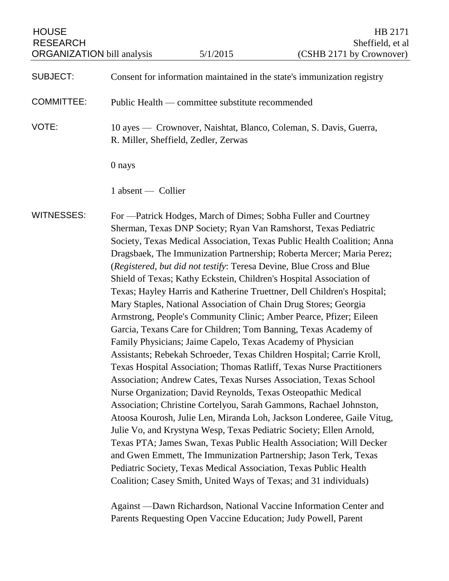# SUBJECT: Consent for information maintained in the state's immunization registry

COMMITTEE: Public Health — committee substitute recommended

VOTE: 10 ayes — Crownover, Naishtat, Blanco, Coleman, S. Davis, Guerra, R. Miller, Sheffield, Zedler, Zerwas

0 nays

1 absent — Collier

WITNESSES: For —Patrick Hodges, March of Dimes; Sobha Fuller and Courtney Sherman, Texas DNP Society; Ryan Van Ramshorst, Texas Pediatric Society, Texas Medical Association, Texas Public Health Coalition; Anna Dragsbaek, The Immunization Partnership; Roberta Mercer; Maria Perez; (*Registered, but did not testify*: Teresa Devine, Blue Cross and Blue Shield of Texas; Kathy Eckstein, Children's Hospital Association of Texas; Hayley Harris and Katherine Truettner, Dell Children's Hospital; Mary Staples, National Association of Chain Drug Stores; Georgia Armstrong, People's Community Clinic; Amber Pearce, Pfizer; Eileen Garcia, Texans Care for Children; Tom Banning, Texas Academy of Family Physicians; Jaime Capelo, Texas Academy of Physician Assistants; Rebekah Schroeder, Texas Children Hospital; Carrie Kroll, Texas Hospital Association; Thomas Ratliff, Texas Nurse Practitioners Association; Andrew Cates, Texas Nurses Association, Texas School Nurse Organization; David Reynolds, Texas Osteopathic Medical Association; Christine Cortelyou, Sarah Gammons, Rachael Johnston, Atoosa Kourosh, Julie Len, Miranda Loh, Jackson Londeree, Gaile Vitug, Julie Vo, and Krystyna Wesp, Texas Pediatric Society; Ellen Arnold, Texas PTA; James Swan, Texas Public Health Association; Will Decker and Gwen Emmett, The Immunization Partnership; Jason Terk, Texas Pediatric Society, Texas Medical Association, Texas Public Health Coalition; Casey Smith, United Ways of Texas; and 31 individuals)

> Against —Dawn Richardson, National Vaccine Information Center and Parents Requesting Open Vaccine Education; Judy Powell, Parent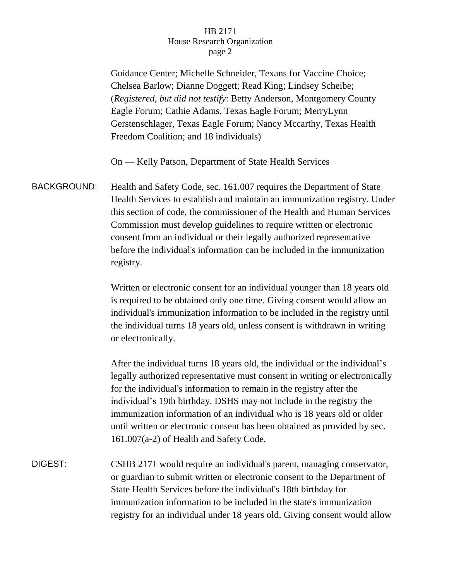Guidance Center; Michelle Schneider, Texans for Vaccine Choice; Chelsea Barlow; Dianne Doggett; Read King; Lindsey Scheibe; (*Registered, but did not testify*: Betty Anderson, Montgomery County Eagle Forum; Cathie Adams, Texas Eagle Forum; MerryLynn Gerstenschlager, Texas Eagle Forum; Nancy Mccarthy, Texas Health Freedom Coalition; and 18 individuals)

On — Kelly Patson, Department of State Health Services

BACKGROUND: Health and Safety Code, sec. 161.007 requires the Department of State Health Services to establish and maintain an immunization registry. Under this section of code, the commissioner of the Health and Human Services Commission must develop guidelines to require written or electronic consent from an individual or their legally authorized representative before the individual's information can be included in the immunization registry.

> Written or electronic consent for an individual younger than 18 years old is required to be obtained only one time. Giving consent would allow an individual's immunization information to be included in the registry until the individual turns 18 years old, unless consent is withdrawn in writing or electronically.

After the individual turns 18 years old, the individual or the individual's legally authorized representative must consent in writing or electronically for the individual's information to remain in the registry after the individual's 19th birthday. DSHS may not include in the registry the immunization information of an individual who is 18 years old or older until written or electronic consent has been obtained as provided by sec. 161.007(a-2) of Health and Safety Code.

DIGEST: CSHB 2171 would require an individual's parent, managing conservator, or guardian to submit written or electronic consent to the Department of State Health Services before the individual's 18th birthday for immunization information to be included in the state's immunization registry for an individual under 18 years old. Giving consent would allow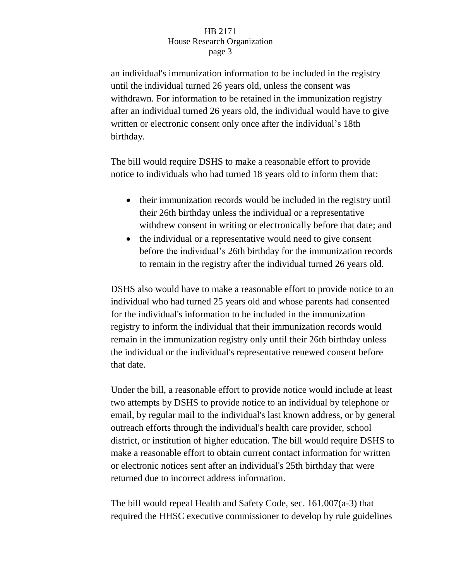an individual's immunization information to be included in the registry until the individual turned 26 years old, unless the consent was withdrawn. For information to be retained in the immunization registry after an individual turned 26 years old, the individual would have to give written or electronic consent only once after the individual's 18th birthday.

The bill would require DSHS to make a reasonable effort to provide notice to individuals who had turned 18 years old to inform them that:

- their immunization records would be included in the registry until their 26th birthday unless the individual or a representative withdrew consent in writing or electronically before that date; and
- the individual or a representative would need to give consent before the individual's 26th birthday for the immunization records to remain in the registry after the individual turned 26 years old.

DSHS also would have to make a reasonable effort to provide notice to an individual who had turned 25 years old and whose parents had consented for the individual's information to be included in the immunization registry to inform the individual that their immunization records would remain in the immunization registry only until their 26th birthday unless the individual or the individual's representative renewed consent before that date.

Under the bill, a reasonable effort to provide notice would include at least two attempts by DSHS to provide notice to an individual by telephone or email, by regular mail to the individual's last known address, or by general outreach efforts through the individual's health care provider, school district, or institution of higher education. The bill would require DSHS to make a reasonable effort to obtain current contact information for written or electronic notices sent after an individual's 25th birthday that were returned due to incorrect address information.

The bill would repeal Health and Safety Code, sec. 161.007(a-3) that required the HHSC executive commissioner to develop by rule guidelines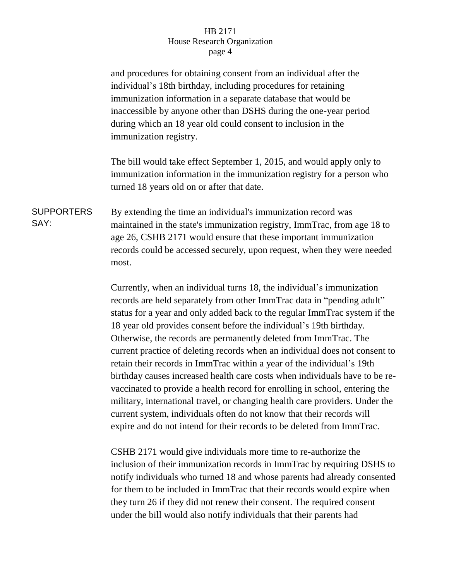and procedures for obtaining consent from an individual after the individual's 18th birthday, including procedures for retaining immunization information in a separate database that would be inaccessible by anyone other than DSHS during the one-year period during which an 18 year old could consent to inclusion in the immunization registry.

The bill would take effect September 1, 2015, and would apply only to immunization information in the immunization registry for a person who turned 18 years old on or after that date.

SUPPORTERS SAY: By extending the time an individual's immunization record was maintained in the state's immunization registry, ImmTrac, from age 18 to age 26, CSHB 2171 would ensure that these important immunization records could be accessed securely, upon request, when they were needed most.

> Currently, when an individual turns 18, the individual's immunization records are held separately from other ImmTrac data in "pending adult" status for a year and only added back to the regular ImmTrac system if the 18 year old provides consent before the individual's 19th birthday. Otherwise, the records are permanently deleted from ImmTrac. The current practice of deleting records when an individual does not consent to retain their records in ImmTrac within a year of the individual's 19th birthday causes increased health care costs when individuals have to be revaccinated to provide a health record for enrolling in school, entering the military, international travel, or changing health care providers. Under the current system, individuals often do not know that their records will expire and do not intend for their records to be deleted from ImmTrac.

> CSHB 2171 would give individuals more time to re-authorize the inclusion of their immunization records in ImmTrac by requiring DSHS to notify individuals who turned 18 and whose parents had already consented for them to be included in ImmTrac that their records would expire when they turn 26 if they did not renew their consent. The required consent under the bill would also notify individuals that their parents had